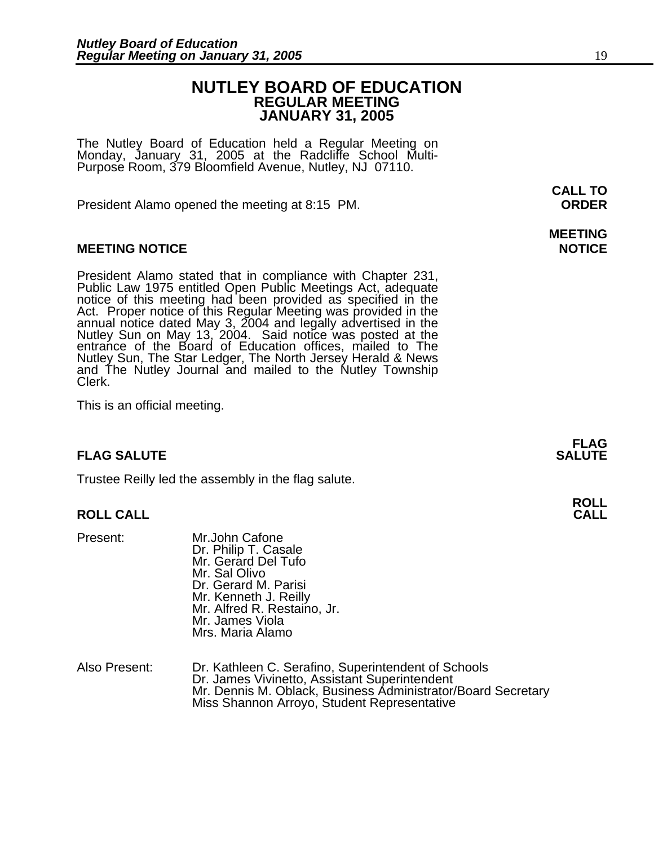## **NUTLEY BOARD OF EDUCATION REGULAR MEETING JANUARY 31, 2005**

The Nutley Board of Education held a Regular Meeting on Monday, January 31, 2005 at the Radcliffe School Multi-Purpose Room, 379 Bloomfield Avenue, Nutley, NJ 07110.

President Alamo opened the meeting at 8:15 PM. **ORDER**

## **MEETING NOTICE NOTICE**

President Alamo stated that in compliance with Chapter 231,<br>Public Law 1975 entitled Open Public Meetings Act, adequate<br>notice of this meeting had been provided as specified in the<br>Act. Proper notice of this Regular Meetin annual notice dated May 3, 2004 and legally advertised in the Nutley Sun on May 13, 2004. Said notice was posted at the entrance of the Board of Education offices, mailed to The Nutley Sun, The Star Ledger, The North Jersey Herald & News and The Nutley Journal and mailed to the Nutley Township Clerk.

This is an official meeting.

## **FLAG SALUTE SALUTE SALUTE**

Trustee Reilly led the assembly in the flag salute.

## **ROLL CALL CALL**

- Present: Mr.John Cafone Dr. Philip T. Casale Mr. Gerard Del Tufo Mr. Sal Olivo Dr. Gerard M. Parisi Mr. Kenneth J. Reilly Mr. Alfred R. Restaino, Jr. Mr. James Viola Mrs. Maria Alamo
- Also Present: Dr. Kathleen C. Serafino, Superintendent of Schools Mr. Dennis M. Oblack, Business Administrator/Board Secretary Miss Shannon Arroyo, Student Representative

# **MEETING**

**FLAG** 

# **ROLL**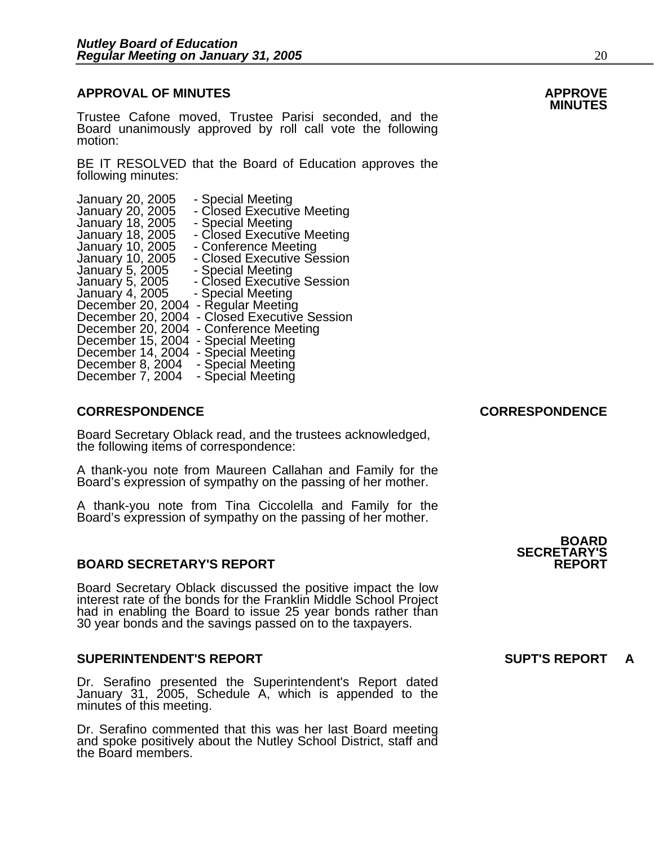## **APPROVAL OF MINUTES APPROVE**

Trustee Cafone moved, Trustee Parisi seconded, and the Board unanimously approved by roll call vote the following motion:

BE IT RESOLVED that the Board of Education approves the following minutes:

| January 20, 2005<br>- Closed Executive Meeting<br>January 18, 2005<br>- Special Meeting<br>- Closed Executive Meeting<br>January 18, 2005<br>January 10, 2005<br>- Conference Meeting<br>- Closed Executive Session<br>January 10, 2005<br>January 5, 2005<br>- Special Meeting<br>- Closed Executive Session<br>January 5, 2005<br>January 4, 2005<br>- Special Meeting<br>- Regular Meeting<br>December 20, 2004<br>- Closed Executive Session<br>December 20, 2004<br>December 20, 2004<br>- Conference Meeting | January 20, 2005  | - Special Meeting |  |
|--------------------------------------------------------------------------------------------------------------------------------------------------------------------------------------------------------------------------------------------------------------------------------------------------------------------------------------------------------------------------------------------------------------------------------------------------------------------------------------------------------------------|-------------------|-------------------|--|
|                                                                                                                                                                                                                                                                                                                                                                                                                                                                                                                    |                   |                   |  |
|                                                                                                                                                                                                                                                                                                                                                                                                                                                                                                                    |                   |                   |  |
|                                                                                                                                                                                                                                                                                                                                                                                                                                                                                                                    |                   |                   |  |
|                                                                                                                                                                                                                                                                                                                                                                                                                                                                                                                    |                   |                   |  |
|                                                                                                                                                                                                                                                                                                                                                                                                                                                                                                                    |                   |                   |  |
|                                                                                                                                                                                                                                                                                                                                                                                                                                                                                                                    |                   |                   |  |
|                                                                                                                                                                                                                                                                                                                                                                                                                                                                                                                    |                   |                   |  |
|                                                                                                                                                                                                                                                                                                                                                                                                                                                                                                                    |                   |                   |  |
|                                                                                                                                                                                                                                                                                                                                                                                                                                                                                                                    |                   |                   |  |
|                                                                                                                                                                                                                                                                                                                                                                                                                                                                                                                    |                   |                   |  |
|                                                                                                                                                                                                                                                                                                                                                                                                                                                                                                                    |                   |                   |  |
|                                                                                                                                                                                                                                                                                                                                                                                                                                                                                                                    |                   |                   |  |
|                                                                                                                                                                                                                                                                                                                                                                                                                                                                                                                    |                   |                   |  |
|                                                                                                                                                                                                                                                                                                                                                                                                                                                                                                                    |                   |                   |  |
| - Special Meeting<br>December 7, 2004                                                                                                                                                                                                                                                                                                                                                                                                                                                                              |                   |                   |  |
| December 14, 2004<br>- Special Meeting<br>- Special Meeting<br>December 8, 2004                                                                                                                                                                                                                                                                                                                                                                                                                                    | December 15, 2004 | - Special Meeting |  |

## **CORRESPONDENCE CORRESPONDENCE**

Board Secretary Oblack read, and the trustees acknowledged, the following items of correspondence:

A thank-you note from Maureen Callahan and Family for the Board's expression of sympathy on the passing of her mother.

A thank-you note from Tina Ciccolella and Family for the Board's expression of sympathy on the passing of her mother.

## **BOARD SECRETARY'S REPORT**

Board Secretary Oblack discussed the positive impact the low had in enabling the Board to issue 25 year bonds rather than 30 year bonds and the savings passed on to the taxpayers.

## **SUPERINTENDENT'S REPORT SUPT'S REPORT A**

Dr. Serafino presented the Superintendent's Report dated January 31, 2005, Schedule A, which is appended to the minutes of this meeting.

Dr. Serafino commented that this was her last Board meeting and spoke positively about the Nutley School District, staff and the Board members.

**BOARD SECRETARY'S**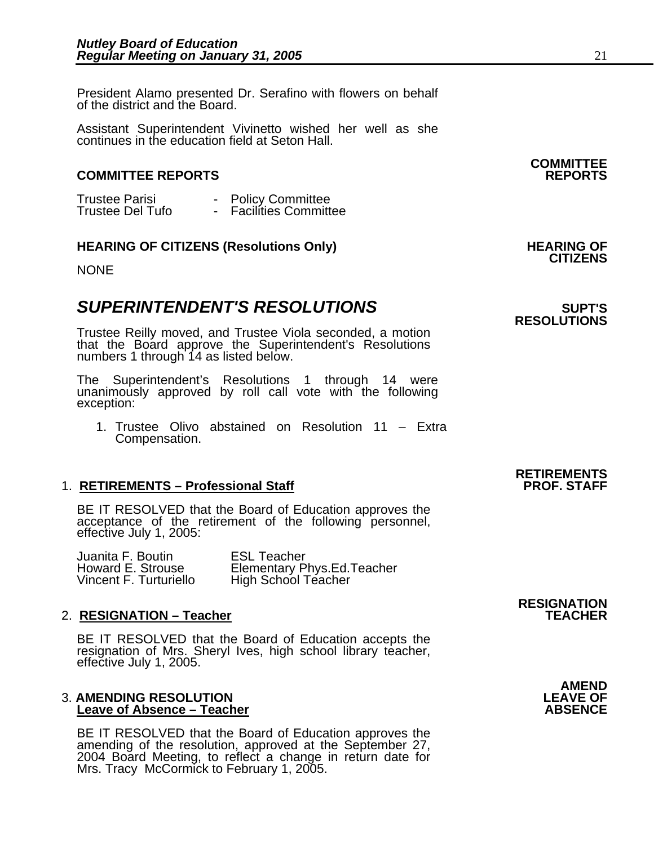President Alamo presented Dr. Serafino with flowers on behalf of the district and the Board.

Assistant Superintendent Vivinetto wished her well as she continues in the education field at Seton Hall.

## **COMMITTEE REPORTS REPORTS**

Trustee Parisi - Policy Committee<br>Trustee Del Tufo - Facilities Committee

## **HEARING OF CITIZENS (Resolutions Only) HEARING OF CITIZENS**

NONE

## **SUPERINTENDENT'S RESOLUTIONS EXAMPLE ASSESSED ASSESSED ASSESSED ASSESSED ASSESSED ASSESSED ASSESSED ASSESSED ASSESSED ASSESSED ASSESSED ASSESSED ASSESSED ASSESSED ASSESSED ASSESSED ASSESSED ASSESSED ASSESSED ASSESSED AS**

Trustee Reilly moved, and Trustee Viola seconded, a motion that the Board approve the Superintendent's Resolutions numbers 1 through 14 as listed below.

The Superintendent's Resolutions 1 through 14 were unanimously approved by roll call vote withັthe following<br>exception:

1. Trustee Olivo abstained on Resolution 11 – Extra Compensation.

## 1. **RETIREMENTS – Professional Staff**

BE IT RESOLVED that the Board of Education approves the acceptance of the retirement of the following personnel, effective July 1, 2005:

| Juanita F. Boutin      | <b>ESL Teacher</b>                |
|------------------------|-----------------------------------|
| Howard E. Strouse      | <b>Elementary Phys.Ed.Teacher</b> |
| Vincent F. Turturiello | High School Teacher               |

2. **RESIGNATION – Teacher**<br>BE IT RESOLVED that the Board of Education accepts the resignation of Mrs. Sheryl Ives, high school library teacher, effective July 1, 2005.

# 3. **AMENDING RESOLUTION LEAVE OF**

**Leave of Absence – Teacher<br>BE IT RESOLVED that the Board of Education approves the** amending of the resolution, approved at the September 27, 2004 Board Meeting, to reflect a change in return date for Mrs. Tracy McCormick to February 1, 2005. **RESIGNATION** 

**RETIREMENTS** 

**COMMITTEE** 

# **RESOLUTIONS**

# AMEND<br>LEAVE OF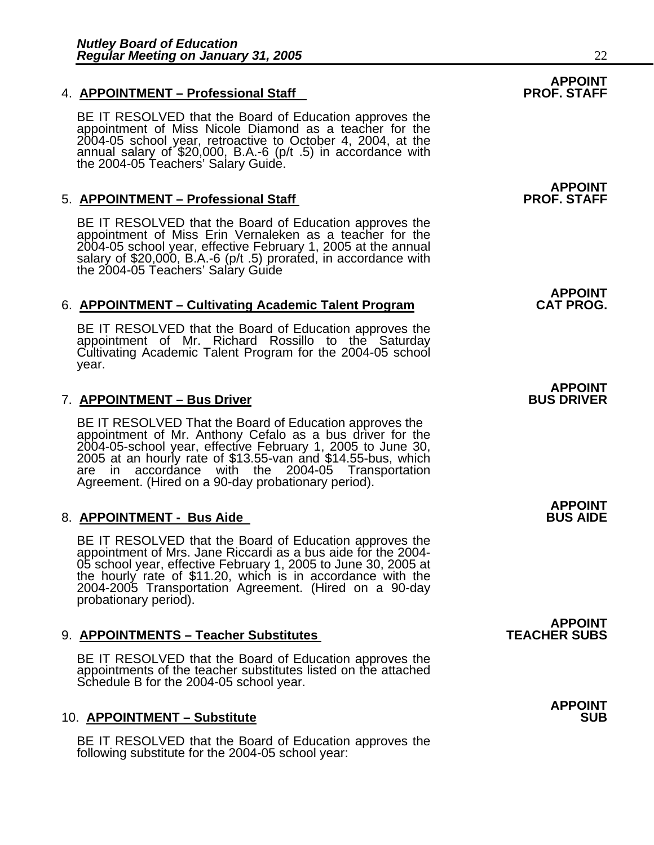## **4. APPOINTMENT – Professional Staff**

BE IT RESOLVED that the Board of Education approves the appointment of Miss Nicole Diamond as a teacher for the 2004-05 school year, retroactive to October 4, 2004, at the annual salary of \$20,000, B.A.-6 (p/t .5) in accordance with the 2004-05 Teachers' Salary Guide.

## 5. **APPOINTMENT – Professional Staff**

BE IT RESOLVED that the Board of Education approves the appointment of Miss Erin Vernaleken as a teacher for the 2004-05 school year, effective February 1, 2005 at the annual salary of \$20,000, B.A.-6 (p/t .5) prorated, in accordance with<br>the 2004-05 Teachers' Salary Guide

## 6. **APPOINTMENT – Cultivating Academic Talent Program**

BE IT RESOLVED that the Board of Education approves the appointment of Mr. Richard Rossillo to the Saturday Cultivating Academic Talent Program for the 2004-05 school year.

## 7. APPOINTMENT – Bus Driver

BE IT RESOLVED That the Board of Education approves the appointment of Mr. Anthony Cefalo as a bus driver for the 2004-05-school year, effective February 1, 2005 to June 30, 2005 at an hourly rate of \$13.55-van and \$14.55-bus, which are in accordance with the 2004-05 Transportation Agreement. (Hired on a 90-day probationary period).

## 8. **APPOINTMENT - Bus Aide**

BE IT RESOLVED that the Board of Education approves the appointment of Mrs. Jane Riccardi as a bus aide for the 2004-05 school year, effective February 1, 2005 to June 30, 2005 at the hourly rate of \$11.20, which is in accordance with the 2004-2005 Transportation Agreement. (Hired on a 90-day probationary period).

## 9. APPOINTMENTS - Teacher Substitutes

BE IT RESOLVED that the Board of Education approves the appointments of the teacher substitutes listed on the attached Schedule B for the 2004-05 school year.

## **10. APPOINTMENT – Substitute**

BE IT RESOLVED that the Board of Education approves the following substitute for the 2004-05 school year:

# **APPOINT<br>PROF. STAFF**

**APPOINT<br>PROF. STAFF** 

**APPOINT** 

# **APPOINT**

**APPOINT** 

**APPOINT<br>TEACHER SUBS** 

**APPOINT**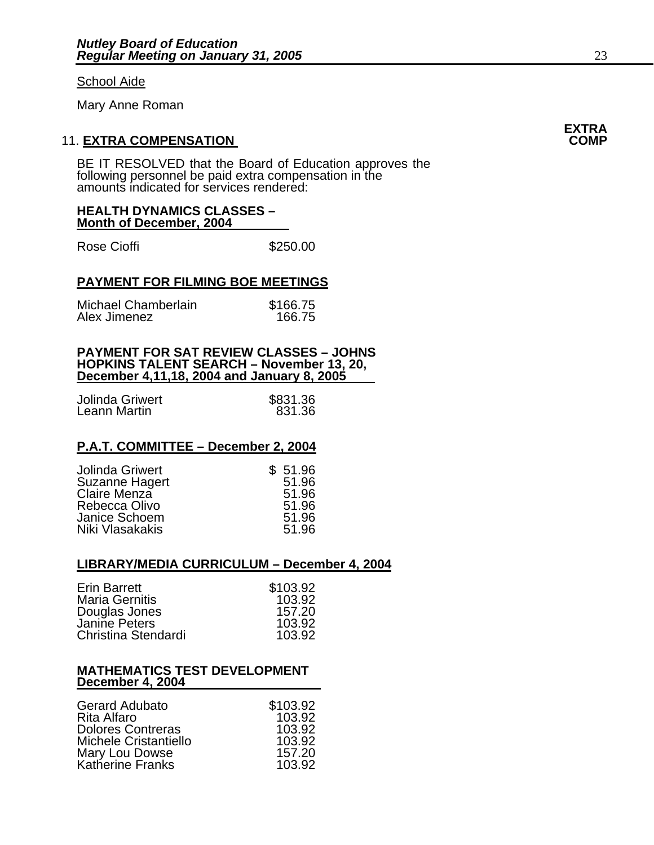### School Aide

Mary Anne Roman

## **11. EXTRA COMPENSATION**

BE IT RESOLVED that the Board of Education approves the following personnel be paid extra compensation in the amounts indicated for services rendered:

## **HEALTH DYNAMICS CLASSES – Month of December, 2004**

Rose Cioffi **\$250.00** 

## **PAYMENT FOR FILMING BOE MEETINGS**

| Michael Chamberlain | \$166.75 |
|---------------------|----------|
| Alex Jimenez        | 166.75   |

### **PAYMENT FOR SAT REVIEW CLASSES – JOHNS HOPKINS TALENT SEARCH – November 13, 20, December 4,11,18, 2004 and January 8, 2005**

| Jolinda Griwert | \$831.36 |
|-----------------|----------|
| Leann Martin    | 831.36   |

## **P.A.T. COMMITTEE – December 2, 2004**

| \$51.96 |
|---------|
| 51.96   |
| 51.96   |
| 51.96   |
| 51.96   |
| 51.96   |
|         |

## **LIBRARY/MEDIA CURRICULUM – December 4, 2004**

| \$103.92<br>103.92<br>157.20<br>103.92 |
|----------------------------------------|
| 103.92                                 |
|                                        |

## **MATHEMATICS TEST DEVELOPMENT December 4, 2004**

| <b>Gerard Adubato</b>        | \$103.92 |
|------------------------------|----------|
| Rita Alfaro                  | 103.92   |
| <b>Dolores Contreras</b>     | 103.92   |
| <b>Michele Cristantiello</b> | 103.92   |
| Mary Lou Dowse               | 157.20   |
| Katherine Franks             | 103.92   |

# **EXTRA**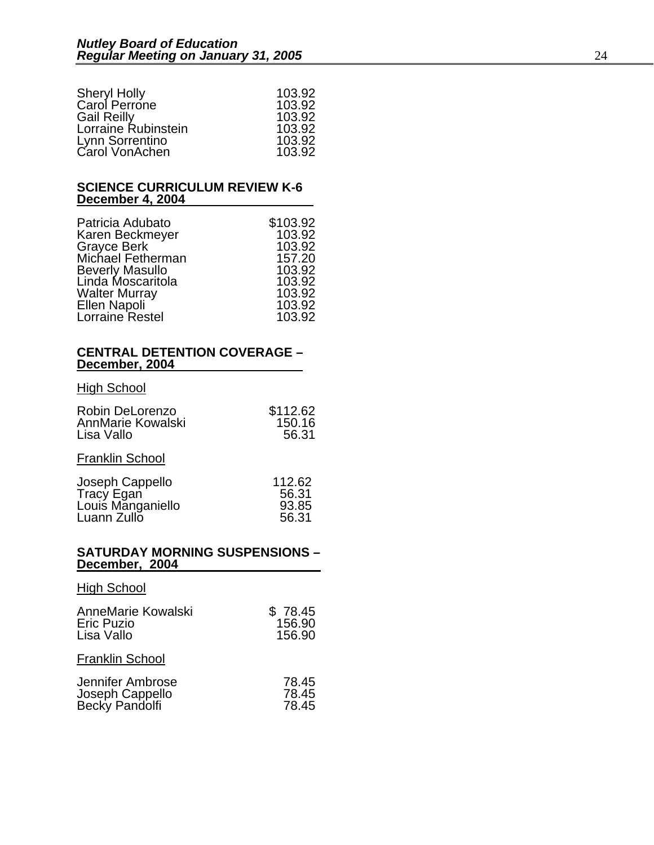| 103.92 |
|--------|
| 103.92 |
| 103.92 |
| 103.92 |
| 103.92 |
| 103.92 |
|        |

### **SCIENCE CURRICULUM REVIEW K-6 December 4, 2004**

| Patricia Adubato       | \$103.92 |
|------------------------|----------|
| Karen Beckmeyer        | 103.92   |
| <b>Grayce Berk</b>     | 103.92   |
| Michael Fetherman      | 157.20   |
| <b>Beverly Masullo</b> | 103.92   |
| Linda Moscaritola      | 103.92   |
| <b>Walter Murray</b>   | 103.92   |
| Ellen Napoli           | 103.92   |
| Lorraine Restel        | 103.92   |

## **CENTRAL DETENTION COVERAGE – December, 2004**

## **High School**

| \$112.62 |
|----------|
| 150.16   |
| 56.31    |
|          |

## Franklin School

| Joseph Cappello   | 112.62 |
|-------------------|--------|
| Tracy Egan        | 56.31  |
| Louis Manganiello | 93.85  |
| Luann Zullo       | 56.31  |

## **SATURDAY MORNING SUSPENSIONS – December, 2004**

| <b>High School</b>                                    |                             |
|-------------------------------------------------------|-----------------------------|
| AnneMarie Kowalski<br><b>Eric Puzio</b><br>Lisa Vallo | \$78.45<br>156.90<br>156.90 |
| <b>Franklin School</b>                                |                             |
| Jennifer Ambrose<br>Joseph Cappello<br>Becky Pandolfi | 78.45<br>78.45<br>78.45     |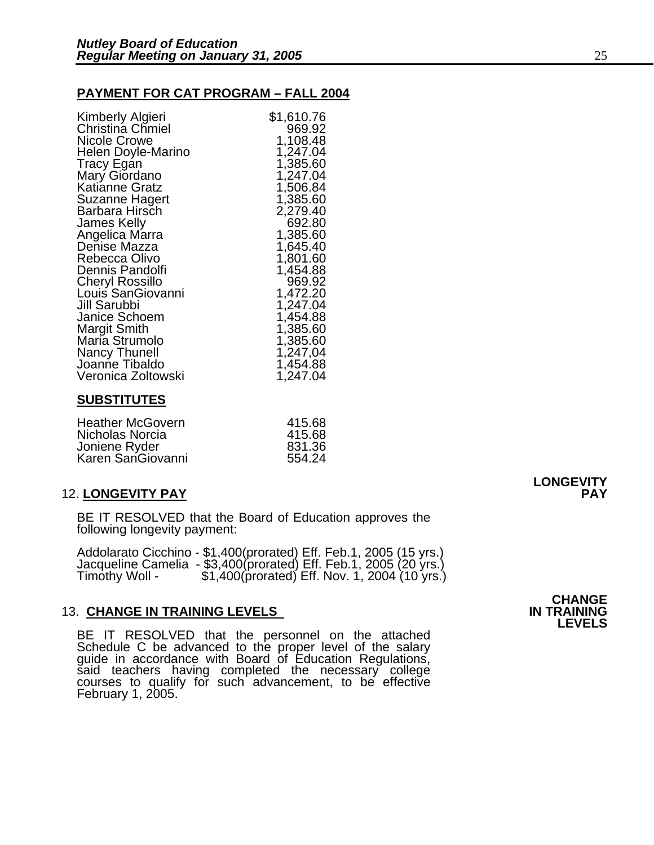## **PAYMENT FOR CAT PROGRAM – FALL 2004**

| Kimberly Algieri       | \$1,610.76 |
|------------------------|------------|
| Christina Chmiel       | 969.92     |
| <b>Nicole Crowe</b>    | 1,108.48   |
| Helen Doyle-Marino     | 1,247.04   |
| <b>Tracy Egan</b>      | 1,385.60   |
| Mary Giordano          | 1,247.04   |
| Katianne Gratz         | 1,506.84   |
| <b>Suzanne Hagert</b>  | 1,385.60   |
| Barbara Hirsch         | 2,279.40   |
| James Kelly            | 692.80     |
| Angelica Marra         | 1,385.60   |
| Denise Mazza           | 1,645.40   |
|                        | 1,801.60   |
| Rebecca Olivo          |            |
| Dennis Pandolfi        | 1,454.88   |
| <b>Cheryl Rossillo</b> | 969.92     |
| Louis SanGiovanni      | 1,472.20   |
| Jill Sarubbi           | 1,247.04   |
| Janice Schoem          | 1,454.88   |
| <b>Margit Smith</b>    | 1,385.60   |
| Maria Strumolo         | 1,385.60   |
| <b>Nancy Thunell</b>   | 1,247,04   |
| Joanne Tibaldo         | 1,454.88   |
| Veronica Zoltowski     | 1,247.04   |
|                        |            |

## **SUBSTITUTES**

| <b>Heather McGovern</b> | 415.68 |
|-------------------------|--------|
| Nicholas Norcia         | 415.68 |
| Joniene Ryder           | 831.36 |
| Karen SanGiovanni       | 554.24 |

## 12. **LONGEVITY PAY PAY**

BE IT RESOLVED that the Board of Education approves the following longevity payment:

Addolarato Cicchino - \$1,400(prorated) Eff. Feb.1, 2005 (15 yrs.)<br>Jacqueline Camelia - \$3,400(prorated) Eff. Feb.1, 2005 (20 yrs.)<br>Timothy Woll - \$1,400(prorated) Eff. Nov. 1, 2004 (10 yrs.)

## **13. CHANGE IN TRAINING LEVELS**

BE IT RESOLVED that the personnel on the attached<br>Schedule C be advanced to the proper level of the salary guide in accordance with Board of Education Regulations,<br>said teachers having completed the necessary college courses to qualify for such advancement, to be effective February 1, 2005.

## **CHANGE**<br>**IN TRAINING LEVELS**

**LONGEVITY**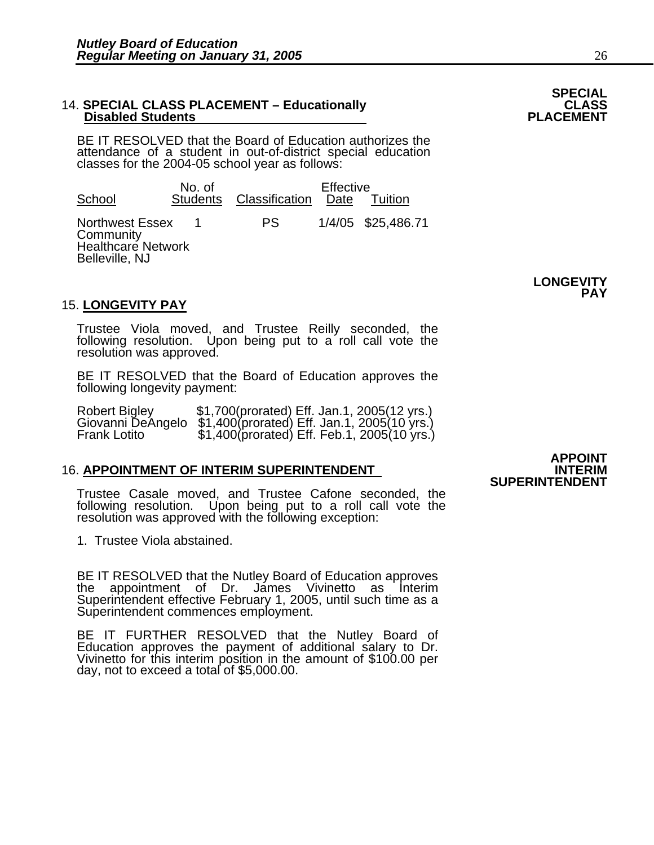### 14. **SPECIAL CLASS PLACEMENT – Educationally CLASS**<br>PLACEMENT – Disabled Students **Disabled Students**

BE IT RESOLVED that the Board of Education authorizes the attendance of a student in out-of-district special education classes for the 2004-05 school year as follows:

No. of Fective<br>tudents Classification Date Tuition School Students Classification Date Northwest Essex 1 PS 1/4/05 \$25,486.71 **Community** Healthcare Network Belleville, NJ

## 15. **LONGEVITY PAY**

Trustee Viola moved, and Trustee Reilly seconded, the following resolution. Upon being put to a roll call vote the resolution was approved.

BE IT RESOLVED that the Board of Education approves the following longevity payment:

Robert Bigley \$1,700(prorated) Eff. Jan.1, 2005(12 yrs.)<br>Giovanni DeAngelo \$1,400(prorated) Eff. Jan.1, 2005(10 yrs.)<br>Frank Lotito \$1,400(prorated) Eff. Feb.1, 2005(10 yrs.)

## **16. APPOINTMENT OF INTERIM SUPERINTENDENT**

Trustee Casale moved, and Trustee Cafone seconded, the following resolution. Upon being put to a roll call vote the resolution was approved with the following exception:

1. Trustee Viola abstained.

BE IT RESOLVED that the Nutley Board of Education approves the appointment of Dr. James Vivinetto as Interim Superintendent effective February 1, 2005, until such time as a Superintendent commences employment.

BE IT FURTHER RESOLVED that the Nutley Board of Education approves the payment of additional salary to Dr. Vivinetto for this interim position in the amount of \$100.00 per day, not to exceed a total of \$5,000.00.

**APPOINT SUPERINTENDENT** 



**LONGEVITY** 

**PAY**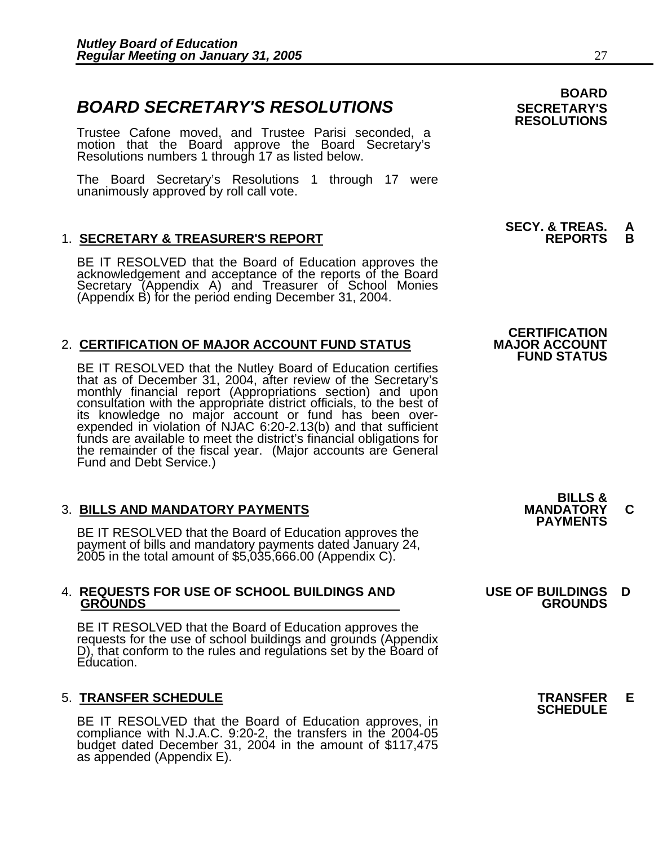## **BOARD SECRETARY'S RESOLUTIONS** SECRETARY'S

Trustee Cafone moved, and Trustee Parisi seconded, a motion that the Board approve the Board Secretary's Resolutions numbers 1 through 17 as listed below.

The Board Secretary's Resolutions 1 through 17 were unanimously approved by roll call vote.

## 1. <u>SECRETARY & TREASURER'S REPORT</u>

BE IT RESOLVED that the Board of Education approves the<br>acknowledgement and acceptance of the reports of the Board<br>Secretary (Appendix A) and Treasurer of School Monies (Appendix B) for the period ending December 31, 2004.

## 2. **CERTIFICATION OF MAJOR ACCOUNT FUND STATUS**

BE IT RESOLVED that the Nutley Board of Education certifies that as of December 31, 2004, after review of the Secretary's monthly financial report (Appropriations section) and upon consultation with the appropriate district officials, to the best of its knowledge no major account or fund has been overexpended in violation of NJAC 6:20-2.13(b) and that sufficient funds are available to meet the district's financial obligations for the remainder of the fiscal year. (Major accounts are General Fund and Debt Service.)

3. BILLS AND MANDATORY PAYMENTS<br>BE IT RESOLVED that the Board of Education approves the **PAYMENTS** BE IT RESOLVED that the Board of Education approves the payment of bills and mandatory payments dated January 24, 2005 in the total amount of \$5,035,666.00 (Appendix C).

## 4. **REQUESTS FOR USE OF SCHOOL BUILDINGS AND USE OF BUILDINGS D GROUNDS GROUNDS**

BE IT RESOLVED that the Board of Education approves the requests for the use of school buildings and grounds (Appendix D), that conform to the rules and regulations set by the Board of Education.

5. **TRANSFER SCHEDULE**<br>BE IT RESOLVED that the Board of Education approves, in **SCHEDULE**<br>BE IT RESOLVED that the Board of Education approves, in compliance with N.J.A.C. 9:20-2, the transfers in the 2004-05 budget dated December 31, 2004 in the amount of \$117,475 as appended (Appendix E).

## **BOARD RESOLUTIONS**

# **SECY. & TREAS. A**

## **CERTIFICATION FUND STATUS**

**BILLS &**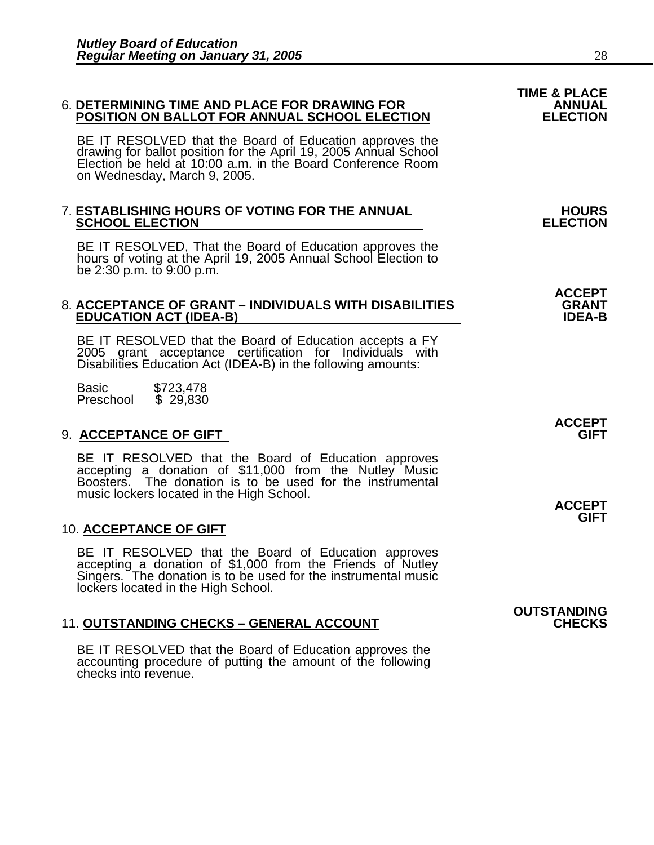## 6. **DETERMINING TIME AND PLACE FOR DRAWING FOR ANNUAL POSITION ON BALLOT FOR ANNUAL SCHOOL ELECTION ELECTION**

BE IT RESOLVED that the Board of Education approves the drawing for ballot position for the April 19, 2005 Annual School Election be held at 10:00 a.m. in the Board Conference Room on Wednesday, March 9, 2005.

## 7. **ESTABLISHING HOURS OF VOTING FOR THE ANNUAL HOURS SCHOOL ELECTION**

BE IT RESOLVED, That the Board of Education approves the hours of voting at the April 19, 2005 Annual School Election to be 2:30 p.m. to 9:00 p.m.

### 8. **ACCEPTANCE OF GRANT – INDIVIDUALS WITH DISABILITIES GRANT EDUCATION ACT (IDEA-B)**

BE IT RESOLVED that the Board of Education accepts a FY<br>2005 grant acceptance certification for Individuals with Disabilities Education Act (IDEA-B) in the following amounts:

Basic \$723,478<br>Preschool \$ 29,830 Preschool

## 9. **ACCEPTANCE OF GIFT GIFT**

BE IT RESOLVED that the Board of Education approves accepting a donation of \$11,000 from the Nutley Music Boosters. The donation is to be used for the instrumental music lockers located in the High School. **ACCEPT ACCEPT** 

## 10. **ACCEPTANCE OF GIFT**

BE IT RESOLVED that the Board of Education approves accepting a donation of \$1,000 from the Friends of Nutley Singers. The donation is to be used for the instrumental music lockers located in the High School.

## **11. OUTSTANDING CHECKS - GENERAL ACCOUNT**

BE IT RESOLVED that the Board of Education approves the accounting procedure of putting the amount of the following checks into revenue.

**ACCEPT**

**ACCEPT** 

**GIFT**

**OUTSTANDING**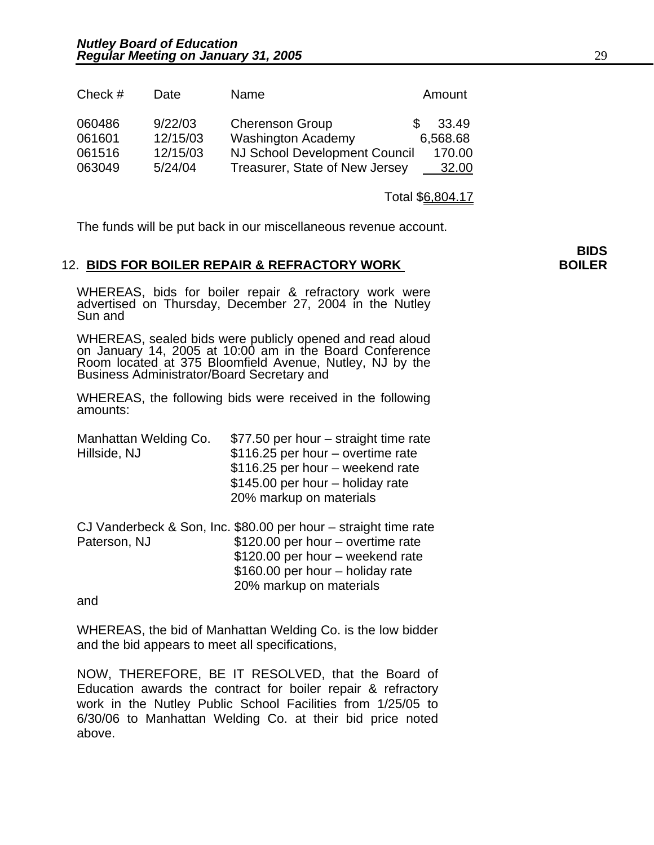| Check $#$                            | Date                                       | Name                                                                                                                          | Amount                                      |
|--------------------------------------|--------------------------------------------|-------------------------------------------------------------------------------------------------------------------------------|---------------------------------------------|
| 060486<br>061601<br>061516<br>063049 | 9/22/03<br>12/15/03<br>12/15/03<br>5/24/04 | <b>Cherenson Group</b><br><b>Washington Academy</b><br><b>NJ School Development Council</b><br>Treasurer, State of New Jersey | 33.49<br>\$.<br>6,568.68<br>170.00<br>32.00 |
|                                      |                                            |                                                                                                                               |                                             |

Total \$6,804.17

The funds will be put back in our miscellaneous revenue account.

## 12. **BIDS FOR BOILER REPAIR & REFRACTORY WORK BOILER**

WHEREAS, bids for boiler repair & refractory work were advertised on Thursday, December 27, 2004 in the Nutley Sun and

WHEREAS, sealed bids were publicly opened and read aloud on January 14, 2005 at 10:00 am in the Board Conference Room located at 375 Bloomfield Avenue, Nutley, NJ by the Business Administrator/Board Secretary and

WHEREAS, the following bids were received in the following amounts:

| Manhattan Welding Co. | \$77.50 per hour – straight time rate                           |
|-----------------------|-----------------------------------------------------------------|
| Hillside, NJ          | \$116.25 per hour - overtime rate                               |
|                       | \$116.25 per hour - weekend rate                                |
|                       | \$145.00 per hour - holiday rate                                |
|                       | 20% markup on materials                                         |
|                       | CJ Vanderbeck & Son, Inc. \$80.00 per hour – straight time rate |
| Paterson, NJ          | \$120.00 per hour – overtime rate                               |
|                       | \$120.00 per hour - weekend rate                                |
|                       | \$160.00 per hour - holiday rate                                |
|                       | 20% markup on materials                                         |

and

WHEREAS, the bid of Manhattan Welding Co. is the low bidder and the bid appears to meet all specifications,

NOW, THEREFORE, BE IT RESOLVED, that the Board of Education awards the contract for boiler repair & refractory work in the Nutley Public School Facilities from 1/25/05 to 6/30/06 to Manhattan Welding Co. at their bid price noted above.

**BIDS**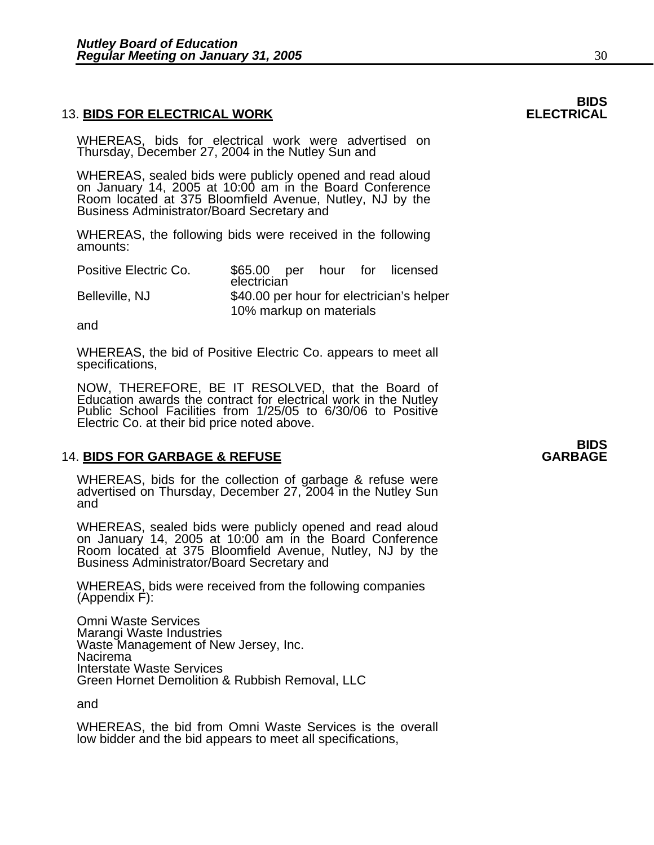## **13. BIDS FOR ELECTRICAL WORK**

WHEREAS, bids for electrical work were advertised on Thursday, December 27, 2004 in the Nutley Sun and

WHEREAS, sealed bids were publicly opened and read aloud on January 14, 2005 at 10:00 am in the Board Conference Room located at 375 Bloomfield Avenue, Nutley, NJ by the Business Administrator/Board Secretary and

WHEREAS, the following bids were received in the following amounts:

| Positive Electric Co. | \$65.00 per hour for licensed<br>electrician |  |  |  |
|-----------------------|----------------------------------------------|--|--|--|
| Belleville, NJ        | \$40.00 per hour for electrician's helper    |  |  |  |
|                       | 10% markup on materials                      |  |  |  |

and

WHEREAS, the bid of Positive Electric Co. appears to meet all specifications,

NOW, THEREFORE, BE IT RESOLVED, that the Board of Education awards the contract for electrical work in the Nutley Public School Facilities from 1/25/05 to 6/30/06 to Positive Electric Co. at their bid price noted above.

## **14. BIDS FOR GARBAGE & REFUSE**

WHEREAS, bids for the collection of garbage & refuse were advertised on Thursday, December 27, 2004 in the Nutley Sun and

WHEREAS, sealed bids were publicly opened and read aloud on January 14, 2005 at 10:00 am in the Board Conference Room located at 375 Bloomfield Avenue, Nutley, NJ by the Business Administrator/Board Secretary and

WHEREAS, bids were received from the following companies (Appendix F):

Omni Waste Services Marangi Waste Industries Waste Management of New Jersey, Inc. Nacirema Interstate Waste Services Green Hornet Demolition & Rubbish Removal, LLC

and

WHEREAS, the bid from Omni Waste Services is the overall low bidder and the bid appears to meet all specifications,

# **BIDS**<br>ELECTRICAL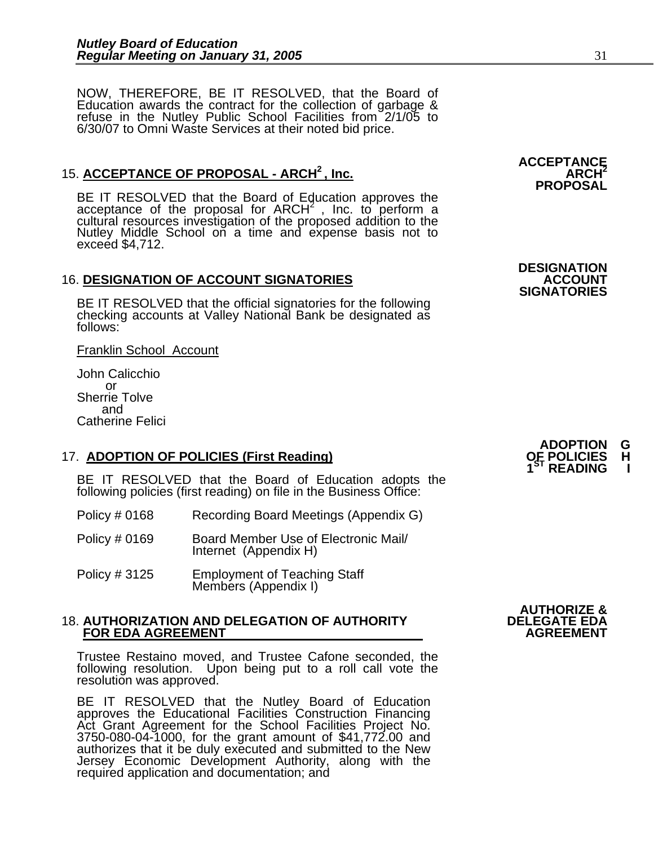NOW, THEREFORE, BE IT RESOLVED, that the Board of Education awards the contract for the collection of garbage & Education awards the contract for the collection of garbage & refuse in the Nutley Public School Facilities from 2/1/05 to 6/30/07 to Omni Waste Services at their noted bid price.

## 15. ACCEPTANCE OF PROPOSAL - ARCH<sup>2</sup>, Inc.

BE IT RESOLVED that the Board of Education approves the acceptance of the proposal for ARCH<sup>2</sup>, Inc. to perform a cultural resources investigation of the proposed addition to the Nutley Middle School on a time and expense exceed \$4,712.

## **16. DESIGNATION OF ACCOUNT SIGNATORIES**

BE IT RESOLVED that the official signatories for the following checking accounts at Valley National Bank be designated as follows:

Franklin School Account

John Calicchio or Sherrie Tolve and Catherine Felici

## 17. **ADOPTION OF POLICIES (First Reading)**

BE IT RESOLVED that the Board of Education adopts the following policies (first reading) on file in the Business Office:

- Policy # 0168 Recording Board Meetings (Appendix G)
- Policy # 0169 Board Member Use of Electronic Mail/ Internet (Appendix H)
- Policy # 3125 Employment of Teaching Staff Members (Appendix I)

## 18. **AUTHORIZATION AND DELEGATION OF AUTHORITY DELEGATE EDA FOR EDA AGREEMENT**

Trustee Restaino moved, and Trustee Cafone seconded, the following resolution. Upon being put to a roll call vote the resolution was approved.

BE IT RESOLVED that the Nutley Board of Education approves the Educational Facilities Construction Financing Act Grant Agreement for the School Facilities Project No. Act Grant Agreement for the School Facilities Project No. 3750-080-04-1000, for the grant amount of \$41,772.00 and authorizes that it be duly executed and submitted to the New Jersey Economic Development Authority, along with the required application and documentation; and

**AUTHORIZE &** 

**ACCEPTANCE PROPOSAL** 

**DESIGNATION** 

**SIGNATORIES** 

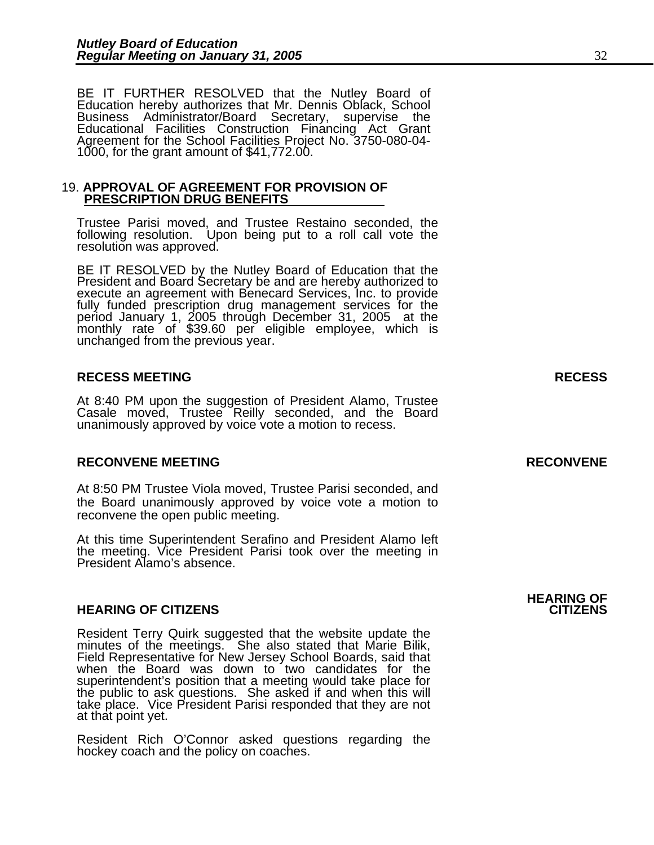BE IT FURTHER RESOLVED that the Nutley Board of Education hereby authorizes that Mr. Dennis Oblack, School Business Administrator/Board Secretary, supervise the Educational Facilities Construction Financing Act Grant<br>Agreement for the School Facilities Project No. 3750-080-04-<br>1000, for the grant amount of \$41,772.00.

## 19. **APPROVAL OF AGREEMENT FOR PROVISION OF PRESCRIPTION DRUG BENEFITS**

Trustee Parisi moved, and Trustee Restaino seconded, the following resolution. Upon being put to a roll call vote the resolution was approved.

BE IT RESOLVED by the Nutley Board of Education that the President and Board Secretary be and are hereby authorized to execute an agreement with Benecard Services, Inc. to provide<br>fully funded prescription drug management services for the<br>period January 1, 2005 through December 31, 2005 at the<br>monthly rate of \$39.60 per eligible employee,

## **RECESS MEETING RECESS**

At 8:40 PM upon the suggestion of President Alamo, Trustee Casale moved, Trustee Reilly seconded, and the Board unanimously approved by voice vote a motion to recess.

## **RECONVENE MEETING RECONVENE**

At 8:50 PM Trustee Viola moved, Trustee Parisi seconded, and the Board unanimously approved by voice vote a motion to reconvene the open public meeting.

At this time Superintendent Serafino and President Alamo left the meeting. Vice President Parisi took over the meeting in President Alamo's absence.

## **HEARING OF CITIZENS CITIZENS**

Resident Terry Quirk suggested that the website update the minutes of the meetings. She also stated that Marie Bilik, Field Representative for New Jersey School Boards, said that Field Representative for New Jersey School Boards, said that<br>when the Board was down to two candidates for the superintendent's position that a meeting would take place for<br>the public to ask questions. She asked if and when this will take place. Vice President Parisi responded that they are not at that point yet.

Resident Rich O'Connor asked questions regarding the hockey coach and the policy on coaches.

**HEARING OF**